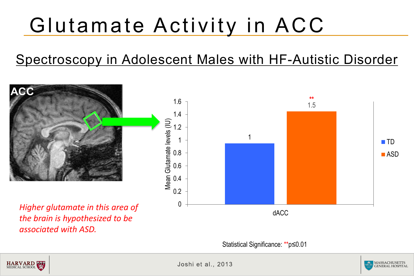## Glutamate Activity in ACC

### Spectroscopy in Adolescent Males with HF-Autistic Disorder



Statistical Significance: \*\*p≤0.01



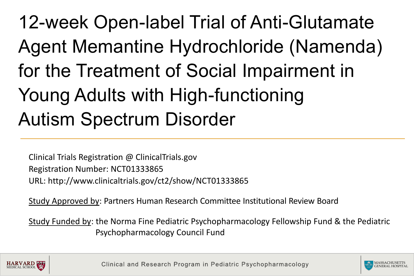## 12-week Open-label Trial of Anti-Glutamate Agent Memantine Hydrochloride (Namenda) for the Treatment of Social Impairment in Young Adults with High-functioning Autism Spectrum Disorder

Clinical Trials Registration @ ClinicalTrials.gov Registration Number: NCT01333865 URL: http://www.clinicaltrials.gov/ct2/show/NCT01333865

Study Approved by: Partners Human Research Committee Institutional Review Board

Study Funded by: the Norma Fine Pediatric Psychopharmacology Fellowship Fund & the Pediatric Psychopharmacology Council Fund



Clinical and Research Program in Pediatric Psychopharmacology

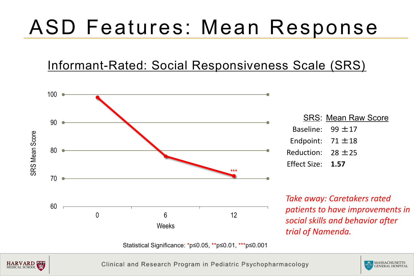## ASD Features: Mean Response

#### Informant-Rated: Social Responsiveness Scale (SRS)





Clinical and Research Program in Pediatric Psychopharmacology

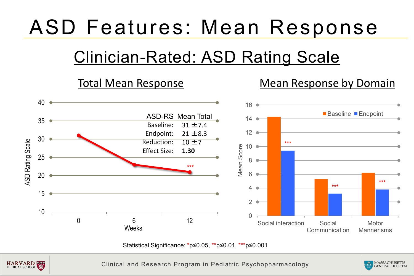## ASD Features: Mean Response

## Clinician-Rated: ASD Rating Scale



Statistical Significance: \*p≤0.05, \*\*p≤0.01, \*\*\*p≤0.001



Clinical and Research Program in Pediatric Psychopharmacology

MASSACHUSETTS GENERAL HOSPITAL !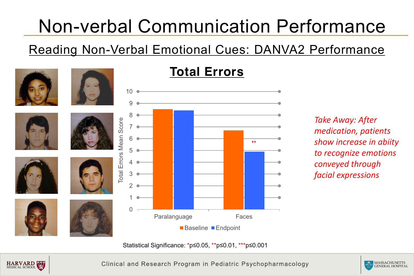## Non-verbal Communication Performance

Reading Non-Verbal Emotional Cues: DANVA2 Performance



### **Total Errors**

*Take Away: After medication, patients show increase in abiity to recognize emotions conveyed through facial expressions* 

Statistical Significance: \*p≤0.05, \*\*p≤0.01, \*\*\*p≤0.001



Clinical and Research Program in Pediatric Psychopharmacology

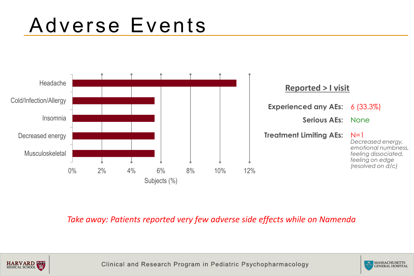

#### *Take away: Patients reported very few adverse side effects while on Namenda*